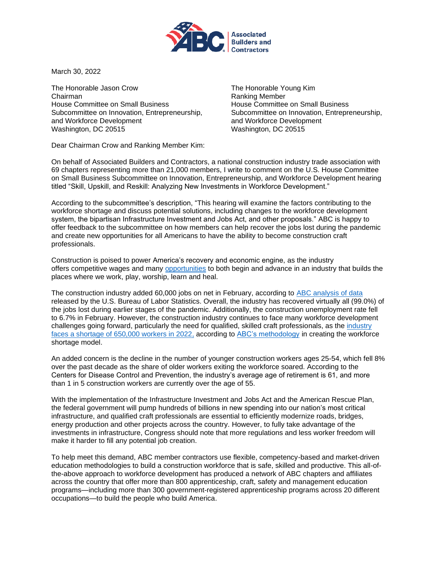

March 30, 2022

The Honorable Jason Crow Chairman House Committee on Small Business Subcommittee on Innovation, Entrepreneurship, and Workforce Development Washington, DC 20515

The Honorable Young Kim Ranking Member House Committee on Small Business Subcommittee on Innovation, Entrepreneurship, and Workforce Development Washington, DC 20515

Dear Chairman Crow and Ranking Member Kim:

On behalf of Associated Builders and Contractors, a national construction industry trade association with 69 chapters representing more than 21,000 members, I write to comment on the U.S. House Committee on Small Business Subcommittee on Innovation, Entrepreneurship, and Workforce Development hearing titled "Skill, Upskill, and Reskill: Analyzing New Investments in Workforce Development."

According to the subcommittee's description, "This hearing will examine the factors contributing to the workforce shortage and discuss potential solutions, including changes to the workforce development system, the bipartisan Infrastructure Investment and Jobs Act, and other proposals." ABC is happy to offer feedback to the subcommittee on how members can help recover the jobs lost during the pandemic and create new opportunities for all Americans to have the ability to become construction craft professionals.

Construction is poised to power America's recovery and economic engine, as the industry offers competitive wages and many [opportunities](https://workforce.abc.org/) to both begin and advance in an industry that builds the places where we work, play, worship, learn and heal.

The construction industry added 60,000 jobs on net in February, according to ABC [analysis of data](https://www.abc.org/News-Media/News-Releases/entryid/19274/construction-employment-surges-in-february-to-near-pre-pandemic-levels-says-abc) released by the U.S. Bureau of Labor Statistics. Overall, the industry has recovered virtually all (99.0%) of the jobs lost during earlier stages of the pandemic. Additionally, the construction unemployment rate fell to 6.7% in February. However, the construction industry continues to face many workforce development challenges going forward, particularly the need for qualified, skilled craft professionals, as the [industry](https://www.abc.org/News-Media/News-Releases/entryid/19255/abc-construction-industry-faces-workforce-shortage-of-650-000-in-2022#:~:text=ABC%3A%20Construction%20Industry%20Faces%20Workforce%20Shortage%20of%20650%2C000%20in%202022,-Wednesday%2C%20February%2023&text=WASHINGTON%2C%20Feb.,by%20Associated%20Builders%20and%20Contractors.)  [faces a shortage of 650,000 workers in 2022,](https://www.abc.org/News-Media/News-Releases/entryid/19255/abc-construction-industry-faces-workforce-shortage-of-650-000-in-2022#:~:text=ABC%3A%20Construction%20Industry%20Faces%20Workforce%20Shortage%20of%20650%2C000%20in%202022,-Wednesday%2C%20February%2023&text=WASHINGTON%2C%20Feb.,by%20Associated%20Builders%20and%20Contractors.) according to [ABC's methodology](https://www.abc.org/Portals/1/CEU/Workforce%20Shortage%20Model%20Methodology.pdf?ver=2022-02-22-102511-617) in creating the workforce shortage model.

An added concern is the decline in the number of younger construction workers ages 25-54, which fell 8% over the past decade as the share of older workers exiting the workforce soared. According to the Centers for Disease Control and Prevention, the industry's average age of retirement is 61, and more than 1 in 5 construction workers are currently over the age of 55.

With the implementation of the Infrastructure Investment and Jobs Act and the American Rescue Plan, the federal government will pump hundreds of billions in new spending into our nation's most critical infrastructure, and qualified craft professionals are essential to efficiently modernize roads, bridges, energy production and other projects across the country. However, to fully take advantage of the investments in infrastructure, Congress should note that more regulations and less worker freedom will make it harder to fill any potential job creation.

To help meet this demand, ABC member contractors use flexible, competency-based and market-driven education methodologies to build a construction workforce that is safe, skilled and productive. This all-ofthe-above approach to workforce development has produced a network of ABC chapters and affiliates across the country that offer more than 800 apprenticeship, craft, safety and management education programs—including more than 300 government-registered apprenticeship programs across 20 different occupations—to build the people who build America.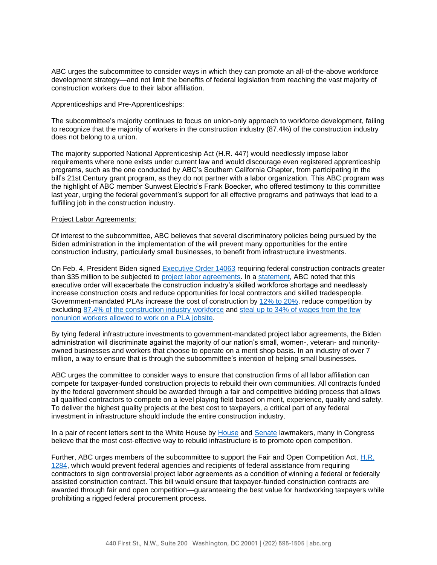ABC urges the subcommittee to consider ways in which they can promote an all-of-the-above workforce development strategy—and not limit the benefits of federal legislation from reaching the vast majority of construction workers due to their labor affiliation.

## Apprenticeships and Pre-Apprenticeships:

The subcommittee's majority continues to focus on union-only approach to workforce development, failing to recognize that the majority of workers in the construction industry (87.4%) of the construction industry does not belong to a union.

The majority supported National Apprenticeship Act (H.R. 447) would needlessly impose labor requirements where none exists under current law and would discourage even registered apprenticeship programs, such as the one conducted by ABC's Southern California Chapter, from participating in the bill's 21st Century grant program, as they do not partner with a labor organization. This ABC program was the highlight of ABC member Sunwest Electric's Frank Boecker, who offered testimony to this committee last year, urging the federal government's support for all effective programs and pathways that lead to a fulfilling job in the construction industry.

## Project Labor Agreements:

Of interest to the subcommittee, ABC believes that several discriminatory policies being pursued by the Biden administration in the implementation of the will prevent many opportunities for the entire construction industry, particularly small businesses, to benefit from infrastructure investments.

On Feb. 4, President Biden signed [Executive Order 14063](https://www.whitehouse.gov/briefing-room/presidential-actions/2022/02/04/executive-order-on-use-of-project-labor-agreements-for-federal-construction-projects/) requiring federal construction contracts greater than \$35 million to be subjected to [project labor agreements.](https://buildamericalocal.com/learn-more/) In a [statement,](https://www.abc.org/News-Media/News-Releases/entryid/19230/president-biden-s-pro-pla-executive-order-will-increase-costs-to-taxpayers-and-exacerbate-skilled-labor-shortage-says-abc) ABC noted that this executive order will exacerbate the construction industry's skilled workforce shortage and needlessly increase construction costs and reduce opportunities for local contractors and skilled tradespeople. Government-mandated PLAs increase the cost of construction by [12% to 20%,](https://thetruthaboutplas.com/2012/12/28/plastudies/) reduce competition by excluding [87.4% of the construction industry workforce](https://thetruthaboutplas.com/2022/02/02/bls-87-4-of-construction-industry-does-not-belong-to-a-union/) and [steal up to 34% of wages from the few](https://thetruthaboutplas.com/2021/10/22/nonunion-workers-suffer-up-to-34-in-wage-theft-under-government-mandated-project-labor-agreements/)  [nonunion workers allowed to work on a PLA jobsite.](https://thetruthaboutplas.com/2021/10/22/nonunion-workers-suffer-up-to-34-in-wage-theft-under-government-mandated-project-labor-agreements/)

By tying federal infrastructure investments to government-mandated project labor agreements, the Biden administration will discriminate against the majority of our nation's small, women-, veteran- and minorityowned businesses and workers that choose to operate on a merit shop basis. In an industry of over 7 million, a way to ensure that is through the subcommittee's intention of helping small businesses.

ABC urges the committee to consider ways to ensure that construction firms of all labor affiliation can compete for taxpayer-funded construction projects to rebuild their own communities. All contracts funded by the federal government should be awarded through a fair and competitive bidding process that allows all qualified contractors to compete on a level playing field based on merit, experience, quality and safety. To deliver the highest quality projects at the best cost to taxpayers, a critical part of any federal investment in infrastructure should include the entire construction industry.

In a pair of recent letters sent to the White House by [House](https://www.abc.org/Portals/1/2021%20Files/Government%20Affairs/Legislative/Rep.%20Budd%20Letter%20to%20Biden%20Regarding%20PLA%20EO.pdf?ver=2022-03-08-145120-197) and [Senate](https://www.young.senate.gov/imo/media/doc/220307%20-%20Young%20Letter%20to%20POTUS%20re%20EO%20on%20Project%20Labor%20Agreements%20(2).pdf) lawmakers, many in Congress believe that the most cost-effective way to rebuild infrastructure is to promote open competition.

Further, ABC urges members of the subcommittee to support the Fair and Open Competition Act, [H.R.](https://www.congress.gov/bill/117th-congress/house-bill/1284/cosponsors?r=1&s=1&searchResultViewType=expanded)  [1284,](https://www.congress.gov/bill/117th-congress/house-bill/1284/cosponsors?r=1&s=1&searchResultViewType=expanded) which would prevent federal agencies and recipients of federal assistance from requiring contractors to sign controversial project labor agreements as a condition of winning a federal or federally assisted construction contract. This bill would ensure that taxpayer-funded construction contracts are awarded through fair and open competition—guaranteeing the best value for hardworking taxpayers while prohibiting a rigged federal procurement process.